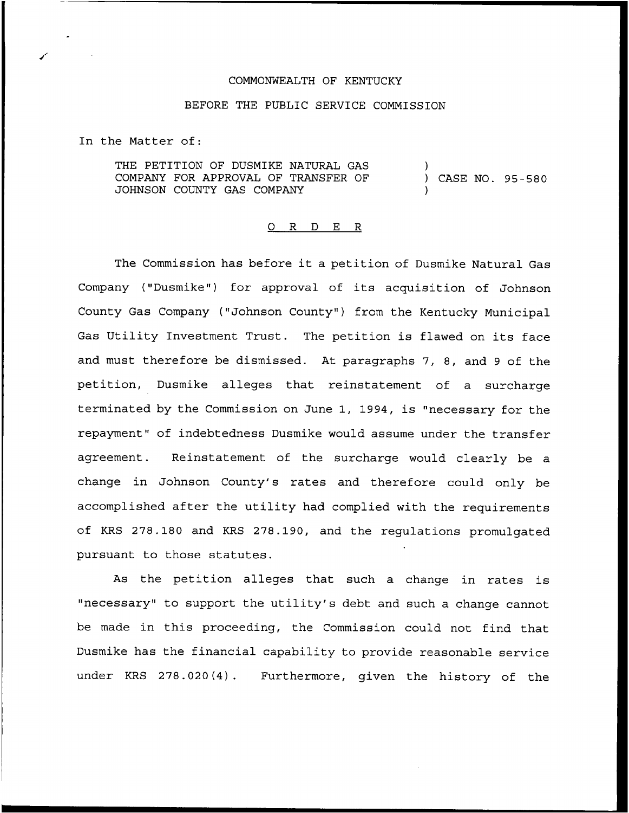## COMMONWEALTH OF KENTUCKY

## BEFORE THE PUBLIC SERVICE COMMISSION

In the Matter of:

THE PETITION OF DUSMIKE NATURAL GAS COMPANY FOR APPROVAL OF TRANSFER OF JOHNSON COUNTY GAS COMPANY ) ) CASE NO. 95-580 )

## 0 R <sup>D</sup> E R

The Commission has before it <sup>a</sup> petition of Dusmike Natural Gas Company ("Dusmike") for approval of its acquisition of Johnson County Gas Company ("Johnson County") from the Kentucky Municipal Gas Utility Investment Trust. The petition is flawed on its face and must therefore be dismissed. At paragraphs 7, 8, and <sup>9</sup> of the petition, Dusmike alleges that reinstatement of a surcharge terminated by the Commission on June 1, 1994, is "necessary for the repayment" of indebtedness Dusmike would assume under the transfer agreement. Reinstatement of the surcharge would clearly be a change in Johnson County's rates and therefore could only be accomplished after the utility had complied with the requirements of KRS 278.180 and KRS 278.190, and the regulations promulgated pursuant to those statutes.

As the petition alleges that such a change in rates is "necessary" to support the utility's debt and such a change cannot be made in this proceeding, the Commission could not find that Dusmike has the financial capability to provide reasonable service under KRS 278.020(4). Furthermore, given the history of the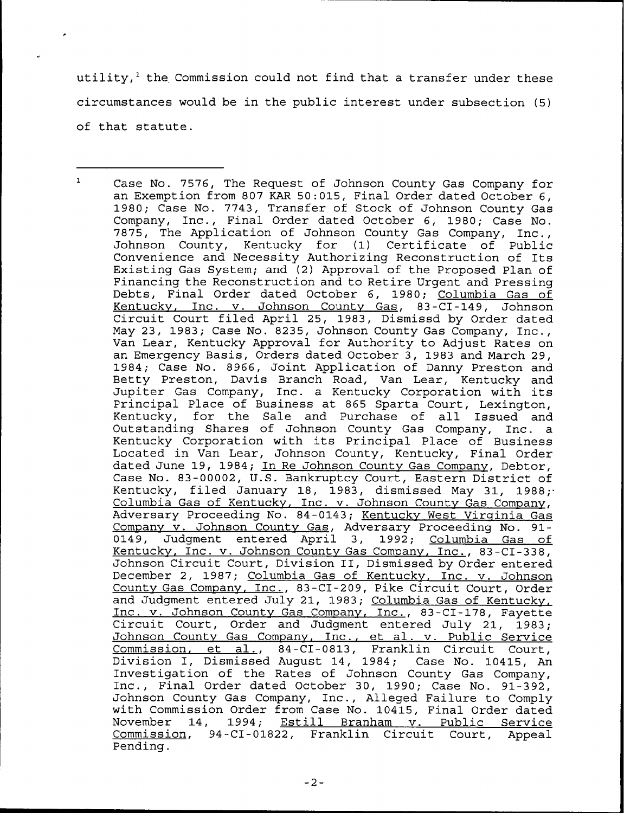utility, $^1$  the Commission could not find that a transfer under these circumstances would be in the public interest under subsection (5) of that statute.

 $\mathbf{1}$ Case No. 7576, The Request of Johnson County Gas Company for an Exemption from 807 KAR 50:015, Final Order dated October 6, 1980; Case No. 7743, Transfer of Stock of Johnson County Gas Company, Inc., Final Order dated October 6, 1980; Case No. 7875, The Application of Johnson County Gas Company, Inc., Johnson County, Kentucky for (1) Certificate of Public Convenience and Necessity Authorizing Reconstruction of Its Existing Gas System; and (2) Approval of the Proposed Plan of Financing the Reconstruction and to Retire Urgent and Pressing Debts, Final Order dated October 6, 1980; Columbia Qas of Kentucky, Inc. v. Johnson County Gas, 83-CI-149, Johnson Circuit Court filed April 25, 1983, Dismissd by Order dated May 23, 1983; Case No. 8235, Johnson County Gas Company, Inc., Van Lear, Kentucky Approval for Authority to Adjust Rates on an Emergency Basis, Orders dated October 3, 1983 and March 29, 1984; Case No. 8966, Joint Application of Danny Preston and Betty Preston, Davis Branch Road, Van Lear, Kentucky and Jupiter Gas Company, Inc. <sup>a</sup> Kentucky Corporation with its Principal Place of Business at 865 Sparta Court, Lexington, Kentucky, for the Sale and Purchase of all Issued and Outstanding Shares of Johnson County Gas Company, Inc. a Kentucky Corporation with its Principal Place of Business Located in Van Lear, Johnson County, Kentucky, Final Order dated June 19, 1984; In Re Johnson County Gas Company, Debtor, Case No. 83-00002, U.S. Bankruptcy Court, Eastern District of Kentucky, filed January 18, 1983, dismissed May 31, 1988; Columbia Gas of Kentucky, Inc. v. Johnson County Gas Company, Adversary Proceeding No. 84-0143; Kentucky West Virginia Gas Company v. Johnson County Gas, Adversary Proceeding No. 91-<br>0149, Judgment entered April 3, 1992; Columbia Gas of Judgment entered April 3, 1992; Columbia Gas of Kentucky, Inc. v. Johnson County Gas Company, Inc., 83-CI-338, Johnson Circuit Court, Division II, Dismissed by Order entered December 2, 1987; Columbia Gas of Kentucky, Inc. v. Johnson Countv Gas Comoanv. Inc., 83-CI-209, Pike Circuit Court, Order and Judgment entered July 21, 1983; Columbia Gas of Kentucky, Inc. v. Johnson County Gas Company, Inc., 83-CI-178, Fayette<br>Circuit Court, Order and Judgment entered July 21, 1983; Johnson County Gas Company, Inc., et al. v. Public Service Commission. et al., 84-CI-0813, Franklin Circuit Court, Division I, Dismissed August 14, 1984; Case No. 10415, An Investigation of the Rates of Johnson County Gas Company, Inc., Final Order dated October 30, 1990; Case No. 91-392, Johnson County Gas Company, Inc., Alleged Failure to Comply with Commission Order from Case No. 10415, Final Order date November 14, 1994; Estill Branham v. Public Service Commission, 94-CI-01822, Franklin Circuit Court, Appeal Pending.